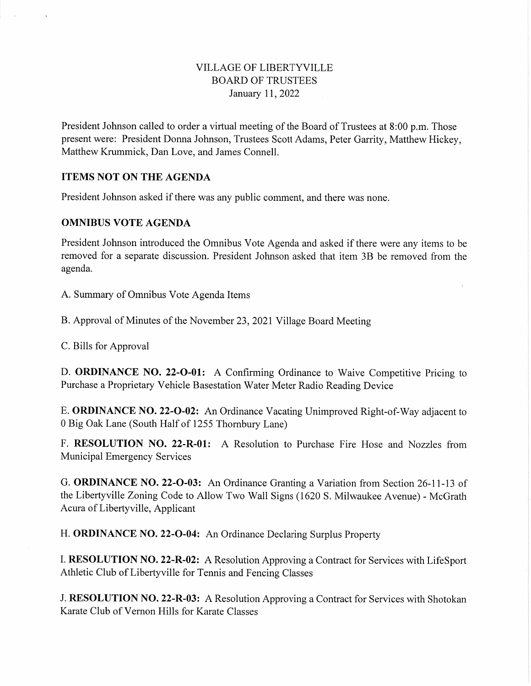#### VILLAGE OF LIBERTYVILLE BOARD OF TRUSTEES January 11, 2022

President Johnson called to order a virtual meeting of the Board of Trustees at 8:00 p.m. Those present were: President Donna Johnson, Trustees Scott Adams, Peter Garrity, Matthew Hickey, Matthew Krummick, Dan Love, and James Connell.

#### ITEMS NOT ON THE AGENDA

President Johnson asked if there was any public comment, and there was none.

#### OMNIBUS VOTE AGENDA

President Johnson introduced the Omnibus Vote Agenda and asked if there were any items to be removed for a separate discussion. President Johnson asked that item 3B be removed from the agenda.

A. Summary of Omnibus Vote Agenda Items

B. Approval of Minutes of the November 23, 2021 Village Board Meeting

C. Bills for Approval

D. **ORDINANCE NO. 22-O-01:** A Confirming Ordinance to Waive Competitive Pricing to Purchase a Proprietary Vehicle Basestation Water Meter Radio Reading Device

E. ORDINANCE NO. 22-0-02: An Ordinance Vacating Unimproved Right-of-Way adjacent to 0 Big Oak Lane (South Half of 1255 Thornbury Lane)

F. RESOLUTION NO. 22-R-01: A Resolution to Purchase Fire Hose and Nozzles from Municipal Emergency Services

G. ORDINANCE NO. 22-0-03: An Ordinance Granting a Variation from Section 26-11-13 of the Liberty ville Zoning Code to Allow Two Wall Signs (1620 S. Milwaukee Avenue) - McGrath Acura of Liberty ville, Applicant

H. ORDINANCE NO. 22-O-04: An Ordinance Declaring Surplus Property

I. RESOLUTION NO. 22-R-02: A Resolution Approving a Contract for Services with LifeSport Athletic Club of Liberty ville for Tennis and Fencing Classes

J. RESOLUTION NO. 22-R-03: A Resolution Approving a Contract for Services with Shotokan Karate Club of Vernon Hills for Karate Classes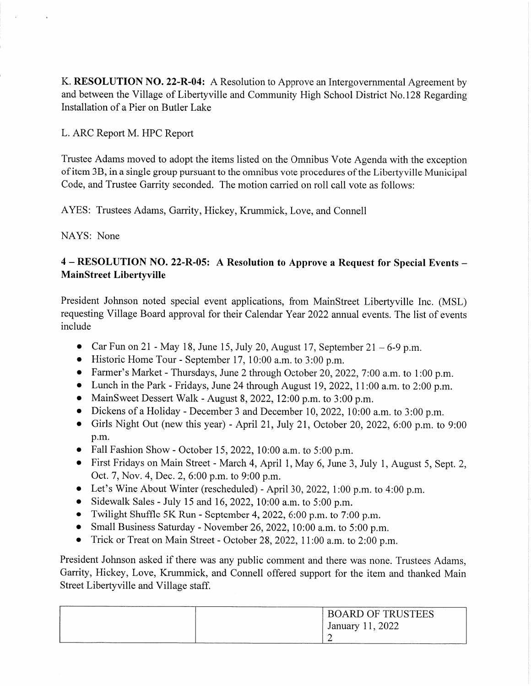K. RESOLUTION NO. 22-R-04: A Resolution to Approve an Intergovernmental Agreement by and between the Village of Libertyville and Community High School District No. 128 Regarding Installation of a Pier on Butler Lake

L. ARC Report M. HPC Report

Trustee Adams moved to adopt the items listed on the Omnibus Vote Agenda with the exception of item 3B, in a single group pursuant to the omnibus vote procedures of the Liberty ville Municipal Code, and Trustee Garrity seconded. The motion carried on roll call vote as follows:

AYES: Trustees Adams, Garrity, Hickey, Krummick, Love, and Connell

NAYS: None

# 4 - RESOLUTION NO. 22-R-05: A Resolution to Approve a Request for Special Events MainStreet Libertyville

President Johnson noted special event applications, from MainStreet Libertyville Inc. (MSL) requesting Village Board approval for their Calendar Year 2022 annual events. The list of events include

- Car Fun on 21 May 18, June 15, July 20, August 17, September  $21 6 9$  p.m.
- Historic Home Tour September 17, 10:00 a.m. to 3:00 p.m.
- Farmer's Market Thursdays, June 2 through October 20, 2022, 7:00 a.m. to 1:00 p.m.
- Lunch in the Park Fridays, June 24 through August 19, 2022, 11:00 a.m. to 2:00 p.m.
- MainSweet Dessert Walk August 8, 2022, 12:00 p.m. to 3:00 p.m.
- Dickens of a Holiday December 3 and December 10, 2022, 10:00 a.m. to 3:00 p.m.
- Girls Night Out (new this year) April 21, July 21, October 20, 2022, 6:00 p.m. to 9:00 p.m.
- Fall Fashion Show October 15, 2022, 10:00 a.m. to 5:00 p.m.
- First Fridays on Main Street March 4, April 1, May 6, June 3, July 1, August 5, Sept. 2, Oct. 7, Nov. 4, Dec. 2, 6:00 p.m. to 9:00 p.m.
- Let's Wine About Winter (rescheduled) April 30, 2022, 1:00 p.m. to 4:00 p.m.
- Sidewalk Sales July 15 and 16, 2022, 10:00 a.m. to 5:00 p.m.
- Twilight Shuffle 5K Run September 4, 2022, 6:00 p.m. to 7:00 p.m.
- Small Business Saturday November 26, 2022, 10:00 a.m. to 5:00 p.m.
- Trick or Treat on Main Street October 28, 2022, 11:00 a.m. to 2:00 p.m.

President Johnson asked if there was any public comment and there was none. Trustees Adams, Garrity, Hickey, Love, Krummick, and Connell offered support for the item and thanked Main Street Libertyville and Village staff.

| <b>BOARD OF TRUSTEES</b> |
|--------------------------|
| January 11, 2022         |
|                          |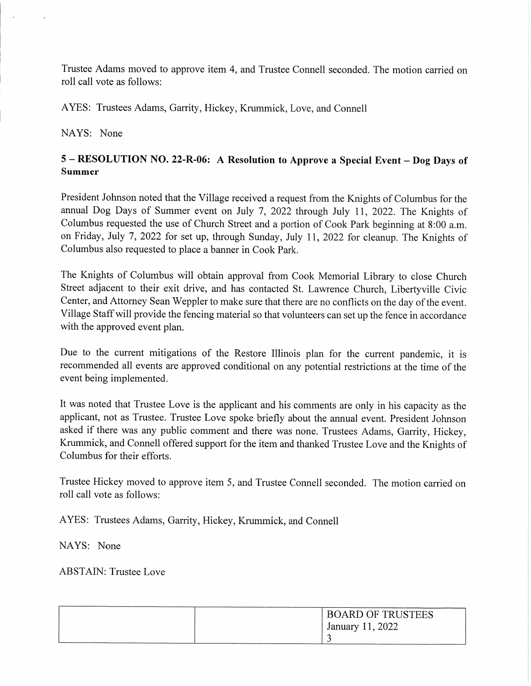Trustee Adams moved to approve item 4, and Trustee Connell seconded. The motion carried on roll call vote as follows:

AYES: Trustees Adams, Garrity, Hickey, Krummick, Love, and Connell

NAYS: None

# 5 - RESOLUTION NO. 22-R-06: A Resolution to Approve a Special Event - Dog Days of Summer

President Johnson noted that the Village received a request from the Knights of Columbus for the annual Dog Days of Summer event on July 7, 2022 through July 11, 2022. The Knights of Columbus requested the use of Church Street and a portion of Cook Park beginning at 8:00 a.m. on Friday, July 7, 2022 for set up, through Sunday, July 11, 2022 for cleanup. The Knights of Columbus also requested to place a banner in Cook Park.

The Knights of Columbus will obtain approval from Cook Memorial Library to close Church Street adjacent to their exit drive, and has contacted St. Lawrence Church, Liberty ville Civic Center, and Attorney Sean Weppler to make sure that there are no conflicts on the day of the event. Village Staff will provide the fencing material so that volunteers can set up the fence in accordance with the approved event plan.

Due to the current mitigations of the Restore Illinois plan for the current pandemic, it is recommended all events are approved conditional on any potential restrictions at the time of the event being implemented.

It was noted that Trustee Love is the applicant and his comments are only in his capacity as the applicant, not as Trustee. Trustee Love spoke briefly about the annual event. President Johnson asked if there was any public comment and there was none. Trustees Adams, Garrity, Hickey, Krummick, and Connell offered support for the item and thanked Trustee Love and the Knights of Columbus for their efforts.

Trustee Hickey moved to approve item 5, and Trustee Connell seconded. The motion carried on roll call vote as follows:

AYES: Trustees Adams, Garrity, Hickey, Krummick, and Connell

NAYS: None

ABSTAIN: Trustee Love

| <b>BOARD OF TRUSTEES</b> |
|--------------------------|
| January 11, 2022         |
|                          |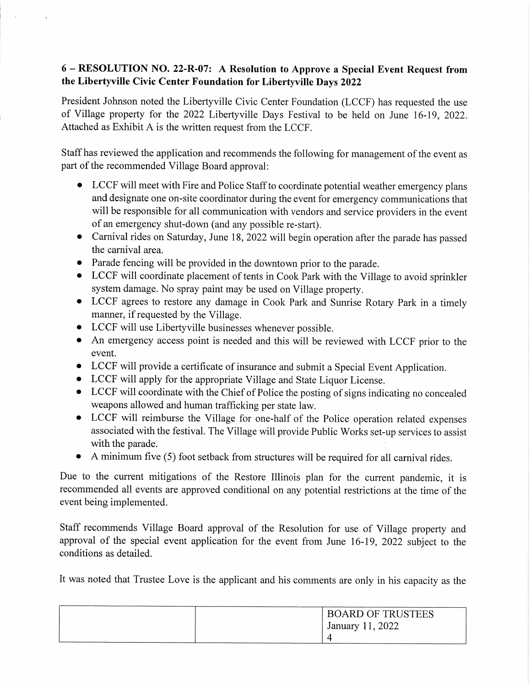## 6 - RESOLUTION NO. 22-R-07: A Resolution to Approve a Special Event Request from the Libertyville Civic Center Foundation for Libertyville Days 2022

President Johnson noted the Libertyville Civic Center Foundation (LCCF) has requested the use of Village property for the 2022 Libertyville Days Festival to be held on June 16-19, 2022. Attached as Exhibit A is the written request from the LCCF.

Staff has reviewed the application and recommends the following for management of the event as part of the recommended Village Board approval:

- LCCF will meet with Fire and Police Staff to coordinate potential weather emergency plans and designate one on-site coordinator during the event for emergency communications that will be responsible for all communication with vendors and service providers in the event of an emergency shut-down (and any possible re-start).
- Carnival rides on Saturday, June 18, 2022 will begin operation after the parade has passed the carnival area.
- Parade fencing will be provided in the downtown prior to the parade.
- LCCF will coordinate placement of tents in Cook Park with the Village to avoid sprinkler system damage. No spray paint may be used on Village property.
- LCCF agrees to restore any damage in Cook Park and Sunrise Rotary Park in a timely manner, if requested by the Village.
- LCCF will use Libertyville businesses whenever possible.
- An emergency access point is needed and this will be reviewed with LCCF prior to the event.
- LCCF will provide a certificate of insurance and submit a Special Event Application.
- LCCF will apply for the appropriate Village and State Liquor License.
- LCCF will coordinate with the Chief of Police the posting of signs indicating no concealed weapons allowed and human trafficking per state law.
- LCCF will reimburse the Village for one-half of the Police operation related expenses associated with the festival. The Village will provide Public Works set-up services to assist with the parade.
- A minimum five (5) foot setback from structures will be required for all carnival rides.

Due to the current mitigations of the Restore Illinois plan for the current pandemic, it is recommended all events are approved conditional on any potential restrictions at the time of the event being implemented.

Staff recommends Village Board approval of the Resolution for use of Village property and approval of the special event application for the event from June 16-19, 2022 subject to the conditions as detailed.

It was noted that Trustee Love is the applicant and his comments are only in his capacity as the

| <b>BOARD OF TRUSTEES</b> |
|--------------------------|
| January 11, 2022         |
|                          |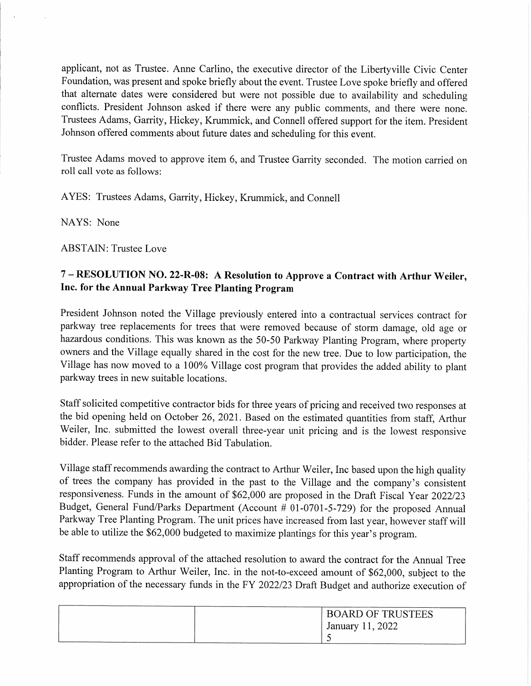applicant, not as Trustee. Anne Carlino, the executive director of the Liberty ville Civic Center Foundation, was present and spoke briefly about the event. Trustee Love spoke briefly and offered that alternate dates were considered but were not possible due to availability and scheduling conflicts. President Johnson asked if there were any public comments, and there were none. Trustees Adams, Garrity, Hickey, Krummick, and Connell offered support for the item. President Johnson offered comments about future dates and scheduling for this event.

Trustee Adams moved to approve item 6, and Trustee Garrity seconded. The motion carried on roll call vote as follows:

AYES: Trustees Adams, Garrity, Hickey, Krummick, and Connell

NAYS: None

ABSTAIN: Trustee Love

# 7 - RESOLUTION NO. 22-R-08: A Resolution to Approve a Contract with Arthur Weiler, Inc. for the Annual Parkway Tree Planting Program

President Johnson noted the Village previously entered into a contractual services contract for parkway tree replacements for trees that were removed because of storm damage, old age or hazardous conditions. This was known as the 50-50 Parkway Planting Program, where property owners and the Village equally shared in the cost for the new tree. Due to low participation, the Village has now moved to a 100% Village cost program that provides the added ability to plant parkway trees in new suitable locations.

Staff solicited competitive contractor bids for three years of pricing and received two responses at the bid opening held on October 26, 2021. Based on the estimated quantities from staff, Arthur Weiler, Inc. submitted the lowest overall three-year unit pricing and is the lowest responsive bidder. Please refer to the attached Bid Tabulation.

Village staff recommends awarding the contract to Arthur Weiler, Inc based upon the high quality of trees the company has provided in the past to the Village and the company's consistent responsiveness. Funds in the amount of \$62,000 are proposed in the Draft Fiscal Year 2022/23 Budget, General Fund/Parks Department (Account # 01-0701-5-729) for the proposed Annual Parkway Tree Planting Program. The unit prices have increased from last year, however staff will be able to utilize the \$62,000 budgeted to maximize plantings for this year's program.

Staff recommends approval of the attached resolution to award the contract for the Annual Tree Planting Program to Arthur Weiler, Inc. in the not-to-exceed amount of \$62,000, subject to the appropriation of the necessary funds in the FY 2022/23 Draft Budget and authorize execution of

| <b>BOARD OF TRUSTEES</b> |
|--------------------------|
| January 11, 2022         |
|                          |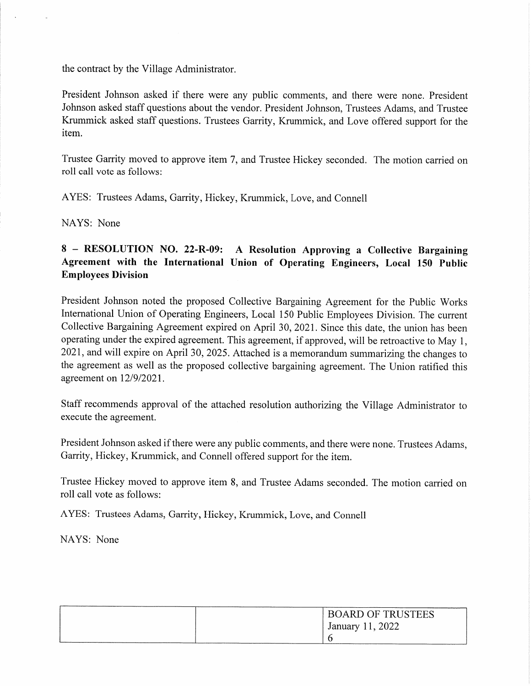the contract by the Village Administrator.

President Johnson asked if there were any public comments, and there were none. President Johnson asked staff questions about the vendor. President Johnson, Trustees Adams, and Trustee Krummick asked staff questions. Trustees Garrity, Krummick, and Love offered support for the item.

Trustee Garrity moved to approve item 7, and Trustee Hickey seconded. The motion carried on roll call vote as follows:

AYES: Trustees Adams, Garrity, Hickey, Krummick, Love, and Connell

NAYS: None

# 8 - RESOLUTION NO. 22-R-09: A Resolution Approving a Collective Bargaining Agreement with the International Union of Operating Engineers, Local 150 Public Employees Division

President Johnson noted the proposed Collective Bargaining Agreement for the Public Works International Union of Operating Engineers, Local 150 Public Employees Division. The current Collective Bargaining Agreement expired on April 30, 2021. Since this date, the union has been operating under the expired agreement. This agreement, if approved, will be retroactive to May 1, 2021, and will expire on April 30, 2025. Attached is a memorandum summarizing the changes to the agreement as well as the proposed collective bargaining agreement. The Union ratified this agreement on 12/9/2021.

Staff recommends approval of the attached resolution authorizing the Village Administrator to execute the agreement.

President Johnson asked if there were any public comments, and there were none. Trustees Adams, Garrity, Hickey, Krummick, and Connell offered support for the item.

Trustee Hickey moved to approve item 8, and Trustee Adams seconded. The motion carried on roll call vote as follows:

AYES: Trustees Adams, Garrity, Hickey, Krummick, Love, and Connell

NAYS: None

|                                                     | <b>BOARD OF TRUSTEES</b> |
|-----------------------------------------------------|--------------------------|
|                                                     | January 11, 2022         |
| and the contract of the contract of the contract of |                          |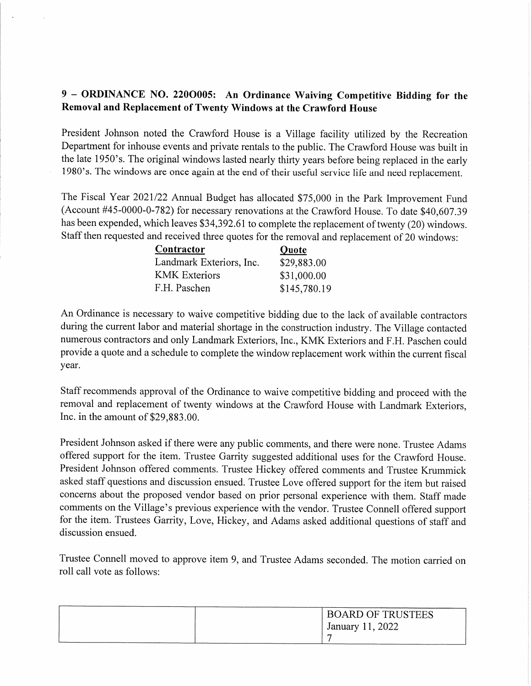### 9 - ORDINANCE NO. 2200005: An Ordinance Waiving Competitive Bidding for the Removal and Replacement of Twenty Windows at the Crawford House

President Johnson noted the Crawford House is a Village facility utilized by the Recreation Department for inhouse events and private rentals to the public. The Crawford House was built in the late 1950's. The original windows lasted nearly thirty years before being replaced in the early 1980's. The windows are once again at the end of their useful service life and need replacement.

The Fiscal Year 2021/22 Annual Budget has allocated \$75,000 in the Park Improvement Fund (Account #45-0000-0-782) for necessary renovations at the Crawford House. To date \$40,607.39 has been expended, which leaves \$34,392.61 to complete the replacement of twenty (20) windows. Staff then requested and received three quotes for the removal and replacement of 20 windows:

| Contractor               | Quote        |  |
|--------------------------|--------------|--|
| Landmark Exteriors, Inc. | \$29,883.00  |  |
| <b>KMK</b> Exteriors     | \$31,000.00  |  |
| F.H. Paschen             | \$145,780.19 |  |

An Ordinance is necessary to waive competitive bidding due to the lack of available contractors during the current labor and material shortage in the construction industry. The Village contacted numerous contractors and only Landmark Exteriors, Inc., KMK Exteriors and F.H. Paschen could provide a quote and a schedule to complete the window replacement work within the current fiscal year.

Staff recommends approval of the Ordinance to waive competitive bidding and proceed with the removal and replacement of twenty windows at the Crawford House with Landmark Exteriors, Inc. in the amount of \$29,883.00.

President Johnson asked if there were any public comments, and there were none. Trustee Adams offered support for the item. Trustee Garrity suggested additional uses for the Crawford House. President Johnson offered comments. Trustee Hickey offered comments and Trustee Krummick asked staff questions and discussion ensued. Trustee Love offered support for the item but raised concerns about the proposed vendor based on prior personal experience with them. Staff made comments on the Village's previous experience with the vendor. Trustee Connell offered support for the item. Trustees Garrity, Love, Hickey, and Adams asked additional questions of staff and discussion ensued.

Trustee Connell moved to approve item 9, and Trustee Adams seconded. The motion carried on roll call vote as follows:

| <b>BOARD OF TRUSTEES</b> |
|--------------------------|
| January 11, 2022         |
|                          |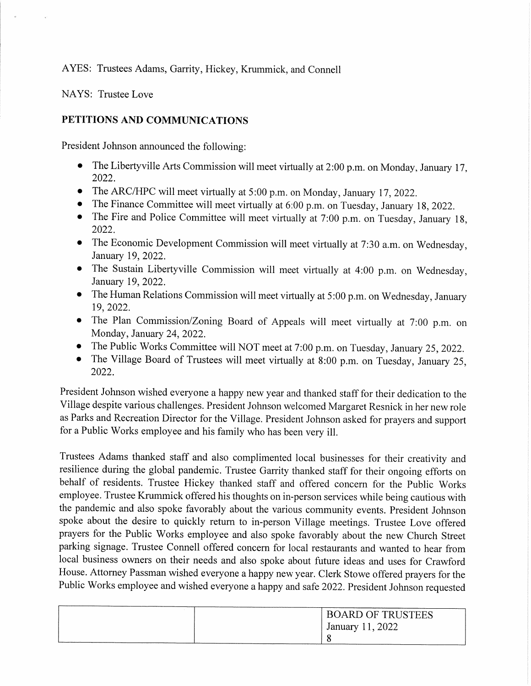AYES: Trustees Adams, Garrity, Hickey, Krummick, and Connell

NAYS: Trustee Love

#### PETITIONS AND COMMUNICATIONS

President Johnson announced the following:

- The Libertyville Arts Commission will meet virtually at 2:00 p.m. on Monday, January 17, 2022.
- The ARC/HPC will meet virtually at 5:00 p.m. on Monday, January 17, 2022.
- The Finance Committee will meet virtually at 6:00 p.m. on Tuesday, January 18, 2022.
- The Fire and Police Committee will meet virtually at 7:00 p.m. on Tuesday, January 18, 2022.
- The Economic Development Commission will meet virtually at 7:30 a.m. on Wednesday, January 19,2022.
- The Sustain Libertyville Commission will meet virtually at 4:00 p.m. on Wednesday, January 19,2022.
- The Human Relations Commission will meet virtually at 5:00 p.m. on Wednesday, January 19,2022.
- The Plan Commission/Zoning Board of Appeals will meet virtually at 7:00 p.m. on Monday, January 24, 2022.
- The Public Works Committee will NOT meet at 7:00 p.m. on Tuesday, January 25, 2022.
- The Village Board of Trustees will meet virtually at 8:00 p.m. on Tuesday, January 25, 2022.

President Johnson wished everyone a happy new year and thanked staff for their dedication to the Village despite various challenges. President Johnson welcomed Margaret Resnick in her new role as Parks and Recreation Director for the Village. President Johnson asked for prayers and support for a Public Works employee and his family who has been very ill.

Trustees Adams thanked staff and also complimented local businesses for their creativity and resilience during the global pandemic. Trustee Garrity thanked staff for their ongoing efforts on behalf of residents. Trustee Hickey thanked staff and offered concern for the Public Works employee. Trustee Krummick offered his thoughts on in-person services while being cautious with the pandemic and also spoke favorably about the various community events. President Johnson spoke about the desire to quickly return to in-person Village meetings. Trustee Love offered prayers for the Public Works employee and also spoke favorably about the new Church Street parking signage. Trustee Connell offered concern for local restaurants and wanted to hear from local business owners on their needs and also spoke about future ideas and uses for Crawford House. Attorney Passman wished everyone a happy new year. Clerk Stowe offered prayers for the Public Works employee and wished everyone a happy and safe 2022. President Johnson requested

|  | <b>BOARD OF TRUSTEES</b> |
|--|--------------------------|
|  | January 11, 2022         |
|  |                          |